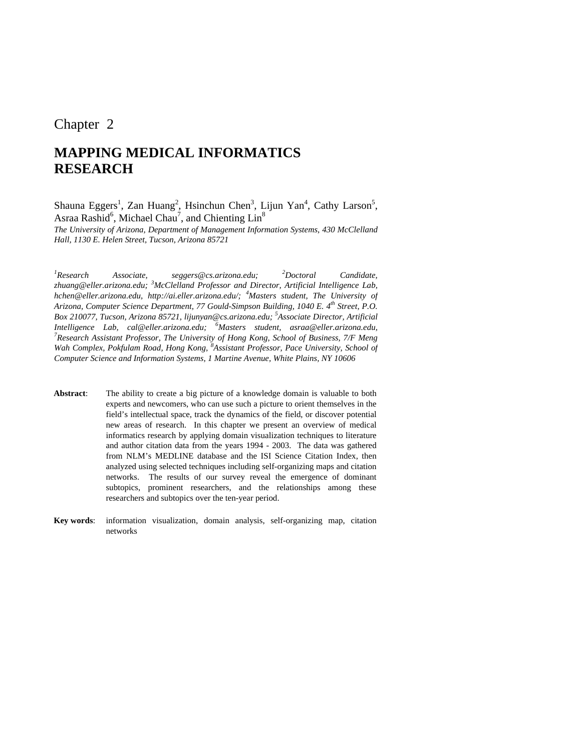# Chapter 2

# **MAPPING MEDICAL INFORMATICS RESEARCH**

Shauna Eggers<sup>1</sup>, Zan Huang<sup>2</sup>, Hsinchun Chen<sup>3</sup>, Lijun Yan<sup>4</sup>, Cathy Larson<sup>5</sup>, Asraa Rashid<sup>6</sup>, Michael Chau<sup>7</sup>, and Chienting Lin<sup>8</sup>

*The University of Arizona, Department of Management Information Systems, 430 McClelland Hall, 1130 E. Helen Street, Tucson, Arizona 85721* 

<sup>1</sup>Research *Associate,* seggers@cs.arizona.edu; <sup>2</sup>Doctoral *Doctoral Candidate, zhuang@eller.arizona.edu; <sup>3</sup> McClelland Professor and Director, Artificial Intelligence Lab, hchen@eller.arizona.edu, http://ai.eller.arizona.edu/; <sup>4</sup> Masters student, The University of Arizona, Computer Science Department, 77 Gould-Simpson Building, 1040 E. 4th Street, P.O. Box 210077, Tucson, Arizona 85721, lijunyan@cs.arizona.edu; <sup>5</sup> Associate Director, Artificial Intelligence Lab, cal@eller.arizona.edu; <sup>6</sup> Masters student, asraa@eller.arizona.edu, 7 Research Assistant Professor, The University of Hong Kong, School of Business, 7/F Meng Wah Complex, Pokfulam Road, Hong Kong, <sup>8</sup> Assistant Professor, Pace University, School of Computer Science and Information Systems, 1 Martine Avenue, White Plains, NY 10606*

- **Abstract**: The ability to create a big picture of a knowledge domain is valuable to both experts and newcomers, who can use such a picture to orient themselves in the field's intellectual space, track the dynamics of the field, or discover potential new areas of research. In this chapter we present an overview of medical informatics research by applying domain visualization techniques to literature and author citation data from the years 1994 - 2003. The data was gathered from NLM's MEDLINE database and the ISI Science Citation Index, then analyzed using selected techniques including self-organizing maps and citation networks. The results of our survey reveal the emergence of dominant subtopics, prominent researchers, and the relationships among these researchers and subtopics over the ten-year period.
- **Key words**: information visualization, domain analysis, self-organizing map, citation networks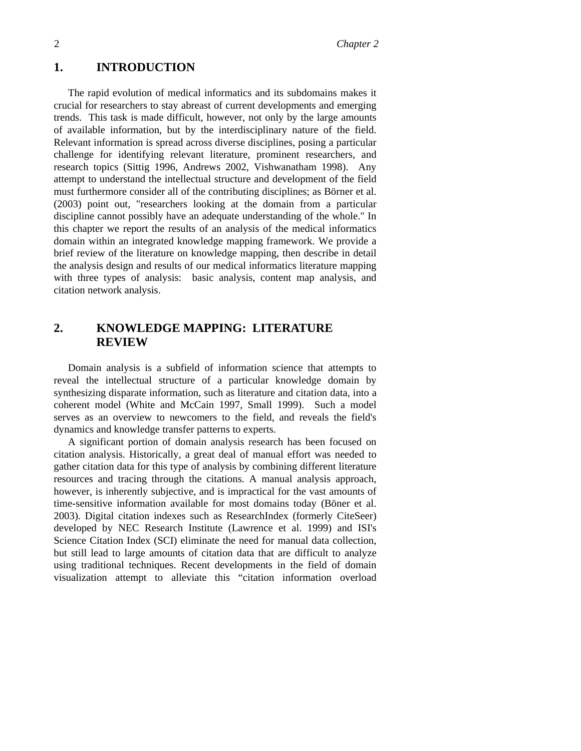#### **1. INTRODUCTION**

The rapid evolution of medical informatics and its subdomains makes it crucial for researchers to stay abreast of current developments and emerging trends. This task is made difficult, however, not only by the large amounts of available information, but by the interdisciplinary nature of the field. Relevant information is spread across diverse disciplines, posing a particular challenge for identifying relevant literature, prominent researchers, and research topics (Sittig 1996, Andrews 2002, Vishwanatham 1998). Any attempt to understand the intellectual structure and development of the field must furthermore consider all of the contributing disciplines; as Börner et al. (2003) point out, "researchers looking at the domain from a particular discipline cannot possibly have an adequate understanding of the whole." In this chapter we report the results of an analysis of the medical informatics domain within an integrated knowledge mapping framework. We provide a brief review of the literature on knowledge mapping, then describe in detail the analysis design and results of our medical informatics literature mapping with three types of analysis: basic analysis, content map analysis, and citation network analysis.

# **2. KNOWLEDGE MAPPING: LITERATURE REVIEW**

Domain analysis is a subfield of information science that attempts to reveal the intellectual structure of a particular knowledge domain by synthesizing disparate information, such as literature and citation data, into a coherent model (White and McCain 1997, Small 1999). Such a model serves as an overview to newcomers to the field, and reveals the field's dynamics and knowledge transfer patterns to experts.

A significant portion of domain analysis research has been focused on citation analysis. Historically, a great deal of manual effort was needed to gather citation data for this type of analysis by combining different literature resources and tracing through the citations. A manual analysis approach, however, is inherently subjective, and is impractical for the vast amounts of time-sensitive information available for most domains today (Böner et al. 2003). Digital citation indexes such as ResearchIndex (formerly CiteSeer) developed by NEC Research Institute (Lawrence et al. 1999) and ISI's Science Citation Index (SCI) eliminate the need for manual data collection, but still lead to large amounts of citation data that are difficult to analyze using traditional techniques. Recent developments in the field of domain visualization attempt to alleviate this "citation information overload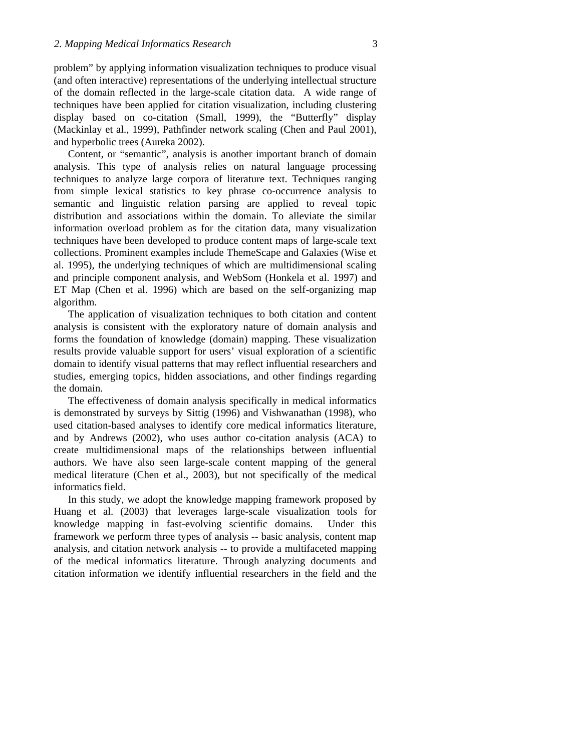problem" by applying information visualization techniques to produce visual (and often interactive) representations of the underlying intellectual structure of the domain reflected in the large-scale citation data. A wide range of techniques have been applied for citation visualization, including clustering display based on co-citation (Small, 1999), the "Butterfly" display (Mackinlay et al., 1999), Pathfinder network scaling (Chen and Paul 2001), and hyperbolic trees (Aureka 2002).

Content, or "semantic", analysis is another important branch of domain analysis. This type of analysis relies on natural language processing techniques to analyze large corpora of literature text. Techniques ranging from simple lexical statistics to key phrase co-occurrence analysis to semantic and linguistic relation parsing are applied to reveal topic distribution and associations within the domain. To alleviate the similar information overload problem as for the citation data, many visualization techniques have been developed to produce content maps of large-scale text collections. Prominent examples include ThemeScape and Galaxies (Wise et al. 1995), the underlying techniques of which are multidimensional scaling and principle component analysis, and WebSom (Honkela et al. 1997) and ET Map (Chen et al. 1996) which are based on the self-organizing map algorithm.

The application of visualization techniques to both citation and content analysis is consistent with the exploratory nature of domain analysis and forms the foundation of knowledge (domain) mapping. These visualization results provide valuable support for users' visual exploration of a scientific domain to identify visual patterns that may reflect influential researchers and studies, emerging topics, hidden associations, and other findings regarding the domain.

The effectiveness of domain analysis specifically in medical informatics is demonstrated by surveys by Sittig (1996) and Vishwanathan (1998), who used citation-based analyses to identify core medical informatics literature, and by Andrews (2002), who uses author co-citation analysis (ACA) to create multidimensional maps of the relationships between influential authors. We have also seen large-scale content mapping of the general medical literature (Chen et al., 2003), but not specifically of the medical informatics field.

In this study, we adopt the knowledge mapping framework proposed by Huang et al. (2003) that leverages large-scale visualization tools for knowledge mapping in fast-evolving scientific domains. Under this framework we perform three types of analysis -- basic analysis, content map analysis, and citation network analysis -- to provide a multifaceted mapping of the medical informatics literature. Through analyzing documents and citation information we identify influential researchers in the field and the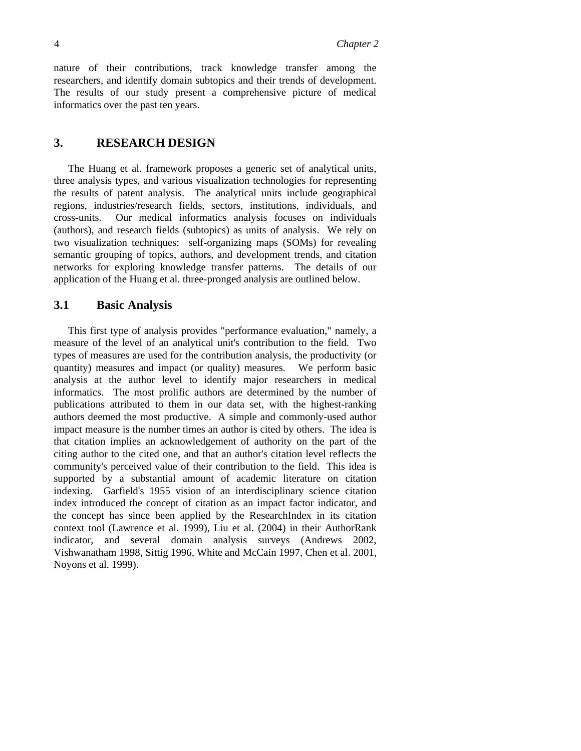nature of their contributions, track knowledge transfer among the researchers, and identify domain subtopics and their trends of development. The results of our study present a comprehensive picture of medical informatics over the past ten years.

### **3. RESEARCH DESIGN**

The Huang et al. framework proposes a generic set of analytical units, three analysis types, and various visualization technologies for representing the results of patent analysis. The analytical units include geographical regions, industries/research fields, sectors, institutions, individuals, and cross-units. Our medical informatics analysis focuses on individuals (authors), and research fields (subtopics) as units of analysis. We rely on two visualization techniques: self-organizing maps (SOMs) for revealing semantic grouping of topics, authors, and development trends, and citation networks for exploring knowledge transfer patterns. The details of our application of the Huang et al. three-pronged analysis are outlined below.

#### **3.1 Basic Analysis**

This first type of analysis provides "performance evaluation," namely, a measure of the level of an analytical unit's contribution to the field. Two types of measures are used for the contribution analysis, the productivity (or quantity) measures and impact (or quality) measures. We perform basic analysis at the author level to identify major researchers in medical informatics. The most prolific authors are determined by the number of publications attributed to them in our data set, with the highest-ranking authors deemed the most productive. A simple and commonly-used author impact measure is the number times an author is cited by others. The idea is that citation implies an acknowledgement of authority on the part of the citing author to the cited one, and that an author's citation level reflects the community's perceived value of their contribution to the field. This idea is supported by a substantial amount of academic literature on citation indexing. Garfield's 1955 vision of an interdisciplinary science citation index introduced the concept of citation as an impact factor indicator, and the concept has since been applied by the ResearchIndex in its citation context tool (Lawrence et al. 1999), Liu et al. (2004) in their AuthorRank indicator, and several domain analysis surveys (Andrews 2002, Vishwanatham 1998, Sittig 1996, White and McCain 1997, Chen et al. 2001, Noyons et al. 1999).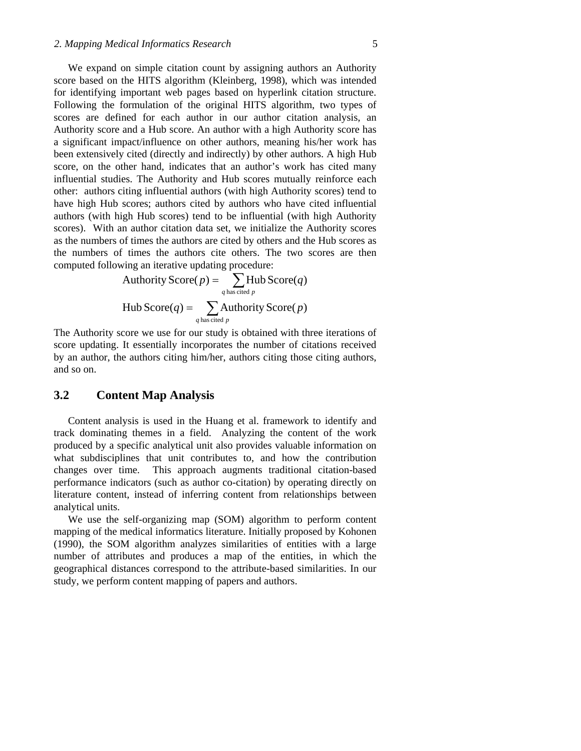We expand on simple citation count by assigning authors an Authority score based on the HITS algorithm (Kleinberg, 1998), which was intended for identifying important web pages based on hyperlink citation structure. Following the formulation of the original HITS algorithm, two types of scores are defined for each author in our author citation analysis, an Authority score and a Hub score. An author with a high Authority score has a significant impact/influence on other authors, meaning his/her work has been extensively cited (directly and indirectly) by other authors. A high Hub score, on the other hand, indicates that an author's work has cited many influential studies. The Authority and Hub scores mutually reinforce each other: authors citing influential authors (with high Authority scores) tend to have high Hub scores; authors cited by authors who have cited influential authors (with high Hub scores) tend to be influential (with high Authority scores). With an author citation data set, we initialize the Authority scores as the numbers of times the authors are cited by others and the Hub scores as the numbers of times the authors cite others. The two scores are then computed following an iterative updating procedure:

Authority Score(
$$
p
$$
) = 
$$
\sum_{q \text{ has cited } p} \text{Hub Score}(q)
$$

\nHub Score( $q$ ) = 
$$
\sum_{q \text{ has cited } p} \text{Authority Score}(p)
$$

The Authority score we use for our study is obtained with three iterations of score updating. It essentially incorporates the number of citations received by an author, the authors citing him/her, authors citing those citing authors, and so on.

### **3.2 Content Map Analysis**

Content analysis is used in the Huang et al. framework to identify and track dominating themes in a field. Analyzing the content of the work produced by a specific analytical unit also provides valuable information on what subdisciplines that unit contributes to, and how the contribution changes over time. This approach augments traditional citation-based performance indicators (such as author co-citation) by operating directly on literature content, instead of inferring content from relationships between analytical units.

We use the self-organizing map (SOM) algorithm to perform content mapping of the medical informatics literature. Initially proposed by Kohonen (1990), the SOM algorithm analyzes similarities of entities with a large number of attributes and produces a map of the entities, in which the geographical distances correspond to the attribute-based similarities. In our study, we perform content mapping of papers and authors.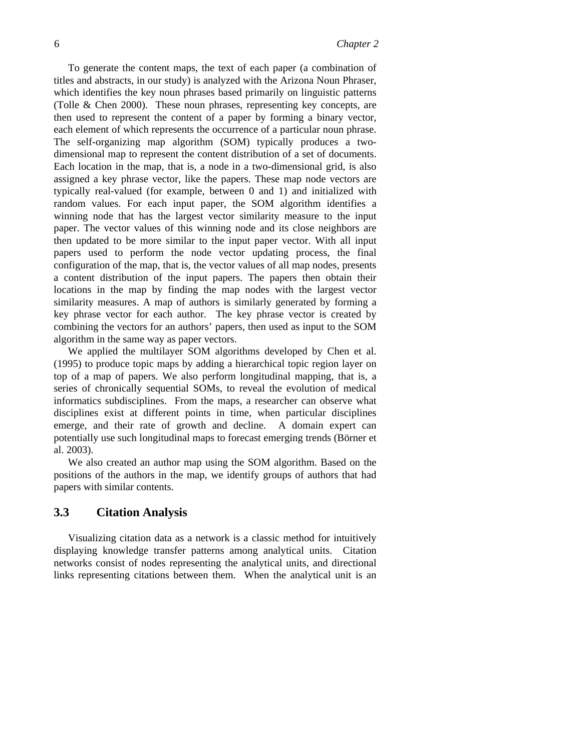To generate the content maps, the text of each paper (a combination of titles and abstracts, in our study) is analyzed with the Arizona Noun Phraser, which identifies the key noun phrases based primarily on linguistic patterns (Tolle & Chen 2000). These noun phrases, representing key concepts, are then used to represent the content of a paper by forming a binary vector, each element of which represents the occurrence of a particular noun phrase. The self-organizing map algorithm (SOM) typically produces a twodimensional map to represent the content distribution of a set of documents. Each location in the map, that is, a node in a two-dimensional grid, is also assigned a key phrase vector, like the papers. These map node vectors are typically real-valued (for example, between 0 and 1) and initialized with random values. For each input paper, the SOM algorithm identifies a winning node that has the largest vector similarity measure to the input paper. The vector values of this winning node and its close neighbors are then updated to be more similar to the input paper vector. With all input papers used to perform the node vector updating process, the final configuration of the map, that is, the vector values of all map nodes, presents a content distribution of the input papers. The papers then obtain their locations in the map by finding the map nodes with the largest vector similarity measures. A map of authors is similarly generated by forming a key phrase vector for each author. The key phrase vector is created by combining the vectors for an authors' papers, then used as input to the SOM algorithm in the same way as paper vectors.

We applied the multilayer SOM algorithms developed by Chen et al. (1995) to produce topic maps by adding a hierarchical topic region layer on top of a map of papers. We also perform longitudinal mapping, that is, a series of chronically sequential SOMs, to reveal the evolution of medical informatics subdisciplines. From the maps, a researcher can observe what disciplines exist at different points in time, when particular disciplines emerge, and their rate of growth and decline. A domain expert can potentially use such longitudinal maps to forecast emerging trends (Börner et al. 2003).

We also created an author map using the SOM algorithm. Based on the positions of the authors in the map, we identify groups of authors that had papers with similar contents.

#### **3.3 Citation Analysis**

Visualizing citation data as a network is a classic method for intuitively displaying knowledge transfer patterns among analytical units. Citation networks consist of nodes representing the analytical units, and directional links representing citations between them. When the analytical unit is an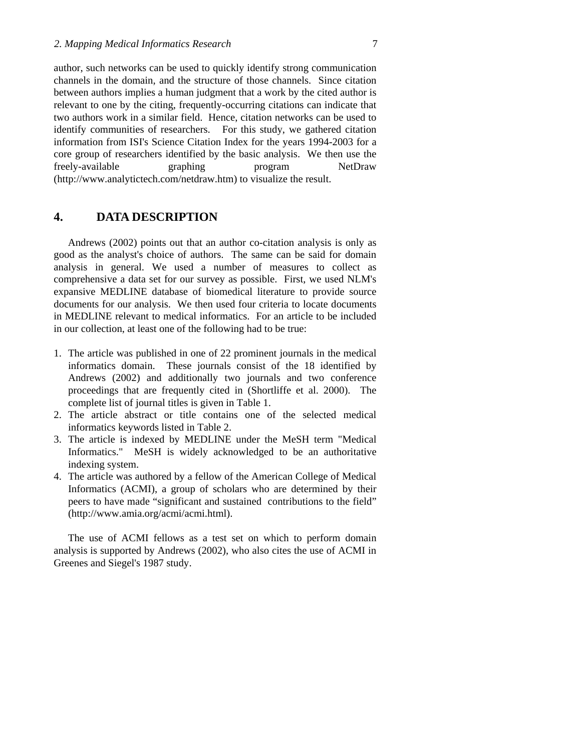author, such networks can be used to quickly identify strong communication channels in the domain, and the structure of those channels. Since citation between authors implies a human judgment that a work by the cited author is relevant to one by the citing, frequently-occurring citations can indicate that two authors work in a similar field. Hence, citation networks can be used to identify communities of researchers. For this study, we gathered citation information from ISI's Science Citation Index for the years 1994-2003 for a core group of researchers identified by the basic analysis. We then use the freely-available graphing program NetDraw (http://www.analytictech.com/netdraw.htm) to visualize the result.

## **4. DATA DESCRIPTION**

Andrews (2002) points out that an author co-citation analysis is only as good as the analyst's choice of authors. The same can be said for domain analysis in general. We used a number of measures to collect as comprehensive a data set for our survey as possible. First, we used NLM's expansive MEDLINE database of biomedical literature to provide source documents for our analysis. We then used four criteria to locate documents in MEDLINE relevant to medical informatics. For an article to be included in our collection, at least one of the following had to be true:

- 1. The article was published in one of 22 prominent journals in the medical informatics domain. These journals consist of the 18 identified by Andrews (2002) and additionally two journals and two conference proceedings that are frequently cited in (Shortliffe et al. 2000). The complete list of journal titles is given in Table 1.
- 2. The article abstract or title contains one of the selected medical informatics keywords listed in Table 2.
- 3. The article is indexed by MEDLINE under the MeSH term "Medical Informatics." MeSH is widely acknowledged to be an authoritative indexing system.
- 4. The article was authored by a fellow of the American College of Medical Informatics (ACMI), a group of scholars who are determined by their peers to have made "significant and sustained contributions to the field" (http://www.amia.org/acmi/acmi.html).

The use of ACMI fellows as a test set on which to perform domain analysis is supported by Andrews (2002), who also cites the use of ACMI in Greenes and Siegel's 1987 study.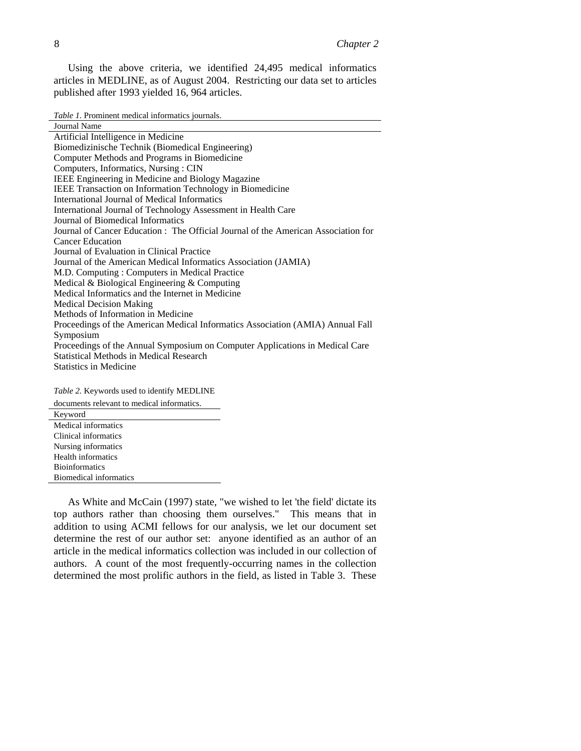Using the above criteria, we identified 24,495 medical informatics articles in MEDLINE, as of August 2004. Restricting our data set to articles published after 1993 yielded 16, 964 articles.

|  | <i>Table 1.</i> Prominent medical informatics journals. |  |  |  |
|--|---------------------------------------------------------|--|--|--|
|  |                                                         |  |  |  |

| Journal Name                                                                       |
|------------------------------------------------------------------------------------|
| Artificial Intelligence in Medicine                                                |
| Biomedizinische Technik (Biomedical Engineering)                                   |
| Computer Methods and Programs in Biomedicine                                       |
| Computers, Informatics, Nursing: CIN                                               |
| IEEE Engineering in Medicine and Biology Magazine                                  |
| IEEE Transaction on Information Technology in Biomedicine                          |
| International Journal of Medical Informatics                                       |
| International Journal of Technology Assessment in Health Care                      |
| Journal of Biomedical Informatics                                                  |
| Journal of Cancer Education : The Official Journal of the American Association for |
| <b>Cancer Education</b>                                                            |
| Journal of Evaluation in Clinical Practice                                         |
| Journal of the American Medical Informatics Association (JAMIA)                    |
| M.D. Computing: Computers in Medical Practice                                      |
| Medical & Biological Engineering & Computing                                       |
| Medical Informatics and the Internet in Medicine                                   |
| <b>Medical Decision Making</b>                                                     |
| Methods of Information in Medicine                                                 |
| Proceedings of the American Medical Informatics Association (AMIA) Annual Fall     |
| Symposium                                                                          |
| Proceedings of the Annual Symposium on Computer Applications in Medical Care       |
| <b>Statistical Methods in Medical Research</b>                                     |
| <b>Statistics in Medicine</b>                                                      |
|                                                                                    |

*Table 2.* Keywords used to identify MEDLINE

documents relevant to medical informatics. Keyword Medical informatics Clinical informatics Nursing informatics Health informatics Bioinformatics Biomedical informatics

As White and McCain (1997) state, "we wished to let 'the field' dictate its top authors rather than choosing them ourselves." This means that in addition to using ACMI fellows for our analysis, we let our document set determine the rest of our author set: anyone identified as an author of an article in the medical informatics collection was included in our collection of authors. A count of the most frequently-occurring names in the collection determined the most prolific authors in the field, as listed in Table 3. These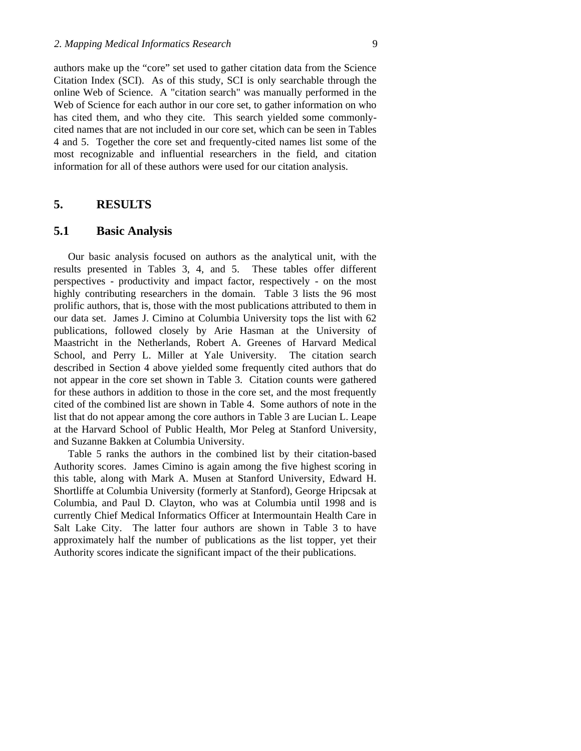authors make up the "core" set used to gather citation data from the Science Citation Index (SCI). As of this study, SCI is only searchable through the online Web of Science. A "citation search" was manually performed in the Web of Science for each author in our core set, to gather information on who has cited them, and who they cite. This search yielded some commonlycited names that are not included in our core set, which can be seen in Tables 4 and 5. Together the core set and frequently-cited names list some of the most recognizable and influential researchers in the field, and citation information for all of these authors were used for our citation analysis.

### **5. RESULTS**

#### **5.1 Basic Analysis**

Our basic analysis focused on authors as the analytical unit, with the results presented in Tables 3, 4, and 5. These tables offer different perspectives - productivity and impact factor, respectively - on the most highly contributing researchers in the domain. Table 3 lists the 96 most prolific authors, that is, those with the most publications attributed to them in our data set. James J. Cimino at Columbia University tops the list with 62 publications, followed closely by Arie Hasman at the University of Maastricht in the Netherlands, Robert A. Greenes of Harvard Medical School, and Perry L. Miller at Yale University. The citation search described in Section 4 above yielded some frequently cited authors that do not appear in the core set shown in Table 3. Citation counts were gathered for these authors in addition to those in the core set, and the most frequently cited of the combined list are shown in Table 4. Some authors of note in the list that do not appear among the core authors in Table 3 are Lucian L. Leape at the Harvard School of Public Health, Mor Peleg at Stanford University, and Suzanne Bakken at Columbia University.

Table 5 ranks the authors in the combined list by their citation-based Authority scores. James Cimino is again among the five highest scoring in this table, along with Mark A. Musen at Stanford University, Edward H. Shortliffe at Columbia University (formerly at Stanford), George Hripcsak at Columbia, and Paul D. Clayton, who was at Columbia until 1998 and is currently Chief Medical Informatics Officer at Intermountain Health Care in Salt Lake City. The latter four authors are shown in Table 3 to have approximately half the number of publications as the list topper, yet their Authority scores indicate the significant impact of the their publications.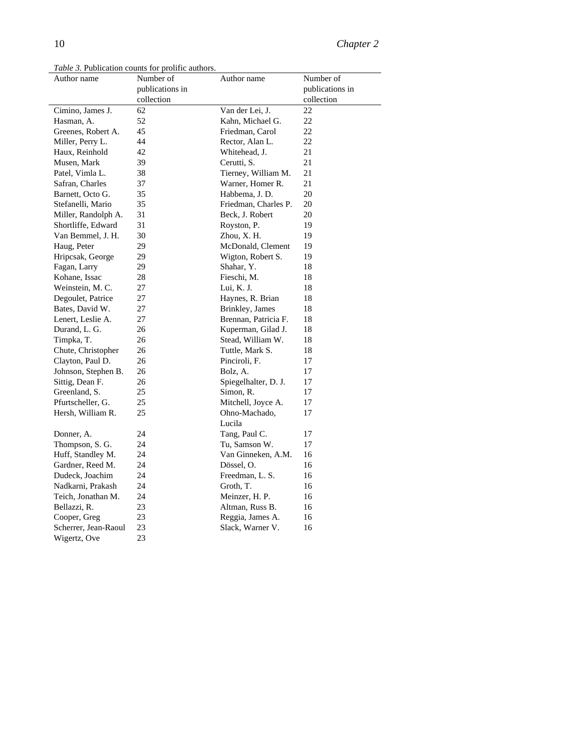*Table 3.* Publication counts for prolific authors.

| Author name          | <i>lable 3.</i> Publication counts for prolific authors.<br>Number of | Author name          | Number of       |
|----------------------|-----------------------------------------------------------------------|----------------------|-----------------|
|                      | publications in                                                       |                      | publications in |
|                      | collection                                                            |                      | collection      |
| Cimino, James J.     | 62                                                                    | Van der Lei, J.      | 22              |
| Hasman, A.           | 52                                                                    | Kahn, Michael G.     | 22              |
| Greenes, Robert A.   | 45                                                                    | Friedman, Carol      | 22              |
| Miller, Perry L.     | 44                                                                    | Rector, Alan L.      | 22              |
| Haux, Reinhold       | 42                                                                    | Whitehead, J.        | 21              |
| Musen, Mark          | 39                                                                    | Cerutti, S.          | 21              |
| Patel, Vimla L.      | 38                                                                    | Tierney, William M.  | 21              |
| Safran, Charles      | 37                                                                    | Warner, Homer R.     | 21              |
| Barnett, Octo G.     | 35                                                                    | Habbema, J. D.       | 20              |
| Stefanelli, Mario    | 35                                                                    | Friedman, Charles P. | 20              |
| Miller, Randolph A.  | 31                                                                    | Beck, J. Robert      | 20              |
| Shortliffe, Edward   | 31                                                                    | Royston, P.          | 19              |
| Van Bemmel, J. H.    | 30                                                                    | Zhou, X. H.          | 19              |
| Haug, Peter          | 29                                                                    | McDonald, Clement    | 19              |
| Hripcsak, George     | 29                                                                    | Wigton, Robert S.    | 19              |
| Fagan, Larry         | 29                                                                    | Shahar, Y.           | 18              |
| Kohane, Issac        | 28                                                                    | Fieschi, M.          | 18              |
| Weinstein, M. C.     | 27                                                                    | Lui, K. J.           | 18              |
| Degoulet, Patrice    | 27                                                                    | Haynes, R. Brian     | 18              |
| Bates, David W.      | 27                                                                    | Brinkley, James      | 18              |
| Lenert, Leslie A.    | 27                                                                    | Brennan, Patricia F. | 18              |
| Durand, L. G.        | 26                                                                    | Kuperman, Gilad J.   | 18              |
| Timpka, T.           | 26                                                                    | Stead, William W.    | 18              |
| Chute, Christopher   | 26                                                                    | Tuttle, Mark S.      | 18              |
| Clayton, Paul D.     | 26                                                                    | Pinciroli, F.        | 17              |
| Johnson, Stephen B.  | 26                                                                    | Bolz, A.             | 17              |
| Sittig, Dean F.      | 26                                                                    | Spiegelhalter, D. J. | 17              |
| Greenland, S.        | 25                                                                    | Simon, R.            | 17              |
| Pfurtscheller, G.    | 25                                                                    | Mitchell, Joyce A.   | 17              |
| Hersh, William R.    | 25                                                                    | Ohno-Machado,        | 17              |
|                      |                                                                       | Lucila               |                 |
| Donner, A.           | 24                                                                    | Tang, Paul C.        | 17              |
| Thompson, S. G.      | 24                                                                    | Tu, Samson W.        | 17              |
| Huff, Standley M.    | 24                                                                    | Van Ginneken, A.M.   | 16              |
| Gardner, Reed M.     | 24                                                                    | Dössel, O.           | 16              |
| Dudeck, Joachim      | 24                                                                    | Freedman, L. S.      | 16              |
| Nadkarni, Prakash    | 24                                                                    | Groth, T.            | 16              |
| Teich, Jonathan M.   | 24                                                                    | Meinzer, H. P.       | 16              |
| Bellazzi, R.         | 23                                                                    | Altman, Russ B.      | 16              |
| Cooper, Greg         | 23                                                                    | Reggia, James A.     | 16              |
| Scherrer, Jean-Raoul | 23                                                                    | Slack, Warner V.     | 16              |
| Wigertz, Ove         | 23                                                                    |                      |                 |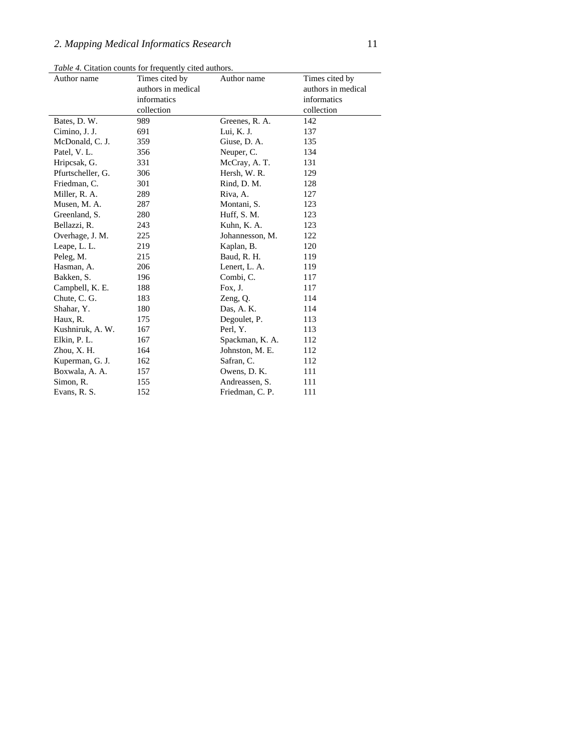# *2. Mapping Medical Informatics Research* 11

| Table 4. Citation counts for frequently cited authors. |  |  |
|--------------------------------------------------------|--|--|
|                                                        |  |  |

| Author name       | Times cited by     | Author name     | Times cited by     |
|-------------------|--------------------|-----------------|--------------------|
|                   | authors in medical |                 | authors in medical |
|                   | informatics        |                 | informatics        |
|                   | collection         |                 | collection         |
| Bates, D.W.       | 989                | Greenes, R. A.  | 142                |
| Cimino, J. J.     | 691                | Lui, K. J.      | 137                |
| McDonald, C. J.   | 359                | Giuse, D. A.    | 135                |
| Patel, V.L.       | 356                | Neuper, C.      | 134                |
| Hripcsak, G.      | 331                | McCray, A.T.    | 131                |
| Pfurtscheller, G. | 306                | Hersh, W. R.    | 129                |
| Friedman, C.      | 301                | Rind, D. M.     | 128                |
| Miller, R. A.     | 289                | Riva, A.        | 127                |
| Musen, M. A.      | 287                | Montani, S.     | 123                |
| Greenland, S.     | 280                | Huff, S. M.     | 123                |
| Bellazzi, R.      | 243                | Kuhn, K. A.     | 123                |
| Overhage, J. M.   | 225                | Johannesson, M. | 122                |
| Leape, L. L.      | 219                | Kaplan, B.      | 120                |
| Peleg, M.         | 215                | Baud, R. H.     | 119                |
| Hasman, A.        | 206                | Lenert, L. A.   | 119                |
| Bakken, S.        | 196                | Combi, C.       | 117                |
| Campbell, K. E.   | 188                | Fox, J.         | 117                |
| Chute, C. G.      | 183                | Zeng, Q.        | 114                |
| Shahar, Y.        | 180                | Das, A. K.      | 114                |
| Haux, R.          | 175                | Degoulet, P.    | 113                |
| Kushniruk, A. W.  | 167                | Perl, Y.        | 113                |
| Elkin, P. L.      | 167                | Spackman, K. A. | 112                |
| Zhou, X. H.       | 164                | Johnston, M. E. | 112                |
| Kuperman, G. J.   | 162                | Safran, C.      | 112                |
| Boxwala, A. A.    | 157                | Owens, D. K.    | 111                |
| Simon, R.         | 155                | Andreassen, S.  | 111                |
| Evans, R. S.      | 152                | Friedman, C. P. | 111                |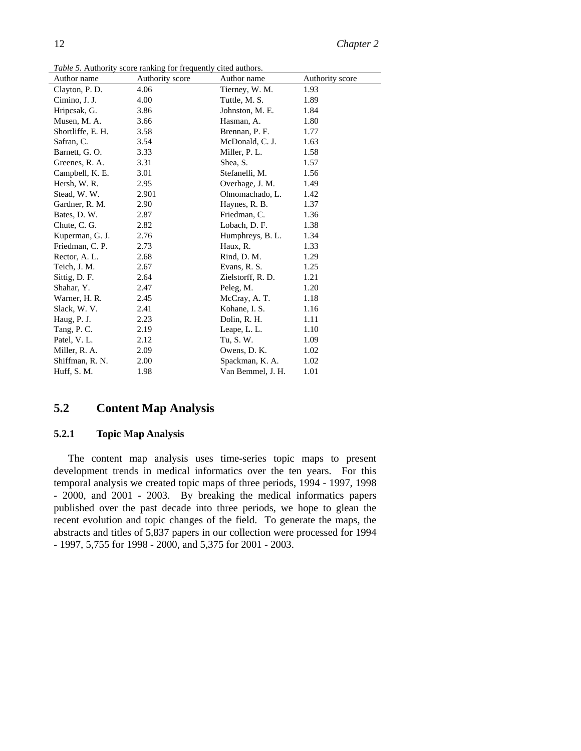*Table 5.* Authority score ranking for frequently cited authors.

| Author name       | Authority score | Author name       | Authority score |
|-------------------|-----------------|-------------------|-----------------|
| Clayton, P. D.    | 4.06            | Tierney, W. M.    | 1.93            |
| Cimino, J. J.     | 4.00            | Tuttle, M. S.     | 1.89            |
| Hripcsak, G.      | 3.86            | Johnston, M. E.   | 1.84            |
| Musen, M. A.      | 3.66            | Hasman, A.        | 1.80            |
| Shortliffe, E. H. | 3.58            | Brennan, P. F.    | 1.77            |
| Safran, C.        | 3.54            | McDonald, C. J.   | 1.63            |
| Barnett, G. O.    | 3.33            | Miller, P. L.     | 1.58            |
| Greenes, R. A.    | 3.31            | Shea, S.          | 1.57            |
| Campbell, K. E.   | 3.01            | Stefanelli, M.    | 1.56            |
| Hersh, W. R.      | 2.95            | Overhage, J. M.   | 1.49            |
| Stead, W.W.       | 2.901           | Ohnomachado, L.   | 1.42            |
| Gardner, R. M.    | 2.90            | Haynes, R. B.     | 1.37            |
| Bates, D.W.       | 2.87            | Friedman, C.      | 1.36            |
| Chute, C. G.      | 2.82            | Lobach, D. F.     | 1.38            |
| Kuperman, G. J.   | 2.76            | Humphreys, B. L.  | 1.34            |
| Friedman, C. P.   | 2.73            | Haux, R.          | 1.33            |
| Rector, A. L.     | 2.68            | Rind, D. M.       | 1.29            |
| Teich, J. M.      | 2.67            | Evans, R. S.      | 1.25            |
| Sittig, D. F.     | 2.64            | Zielstorff, R. D. | 1.21            |
| Shahar, Y.        | 2.47            | Peleg, M.         | 1.20            |
| Warner, H. R.     | 2.45            | McCray, A.T.      | 1.18            |
| Slack, W.V.       | 2.41            | Kohane, I. S.     | 1.16            |
| Haug, P. J.       | 2.23            | Dolin, R. H.      | 1.11            |
| Tang, P.C.        | 2.19            | Leape, L. L.      | 1.10            |
| Patel, V.L.       | 2.12            | Tu, S. W.         | 1.09            |
| Miller, R. A.     | 2.09            | Owens, D. K.      | 1.02            |
| Shiffman, R. N.   | 2.00            | Spackman, K. A.   | 1.02            |
| Huff, S. M.       | 1.98            | Van Bemmel, J. H. | 1.01            |

# **5.2 Content Map Analysis**

#### **5.2.1 Topic Map Analysis**

The content map analysis uses time-series topic maps to present development trends in medical informatics over the ten years. For this temporal analysis we created topic maps of three periods, 1994 - 1997, 1998 - 2000, and 2001 - 2003. By breaking the medical informatics papers published over the past decade into three periods, we hope to glean the recent evolution and topic changes of the field. To generate the maps, the abstracts and titles of 5,837 papers in our collection were processed for 1994 - 1997, 5,755 for 1998 - 2000, and 5,375 for 2001 - 2003.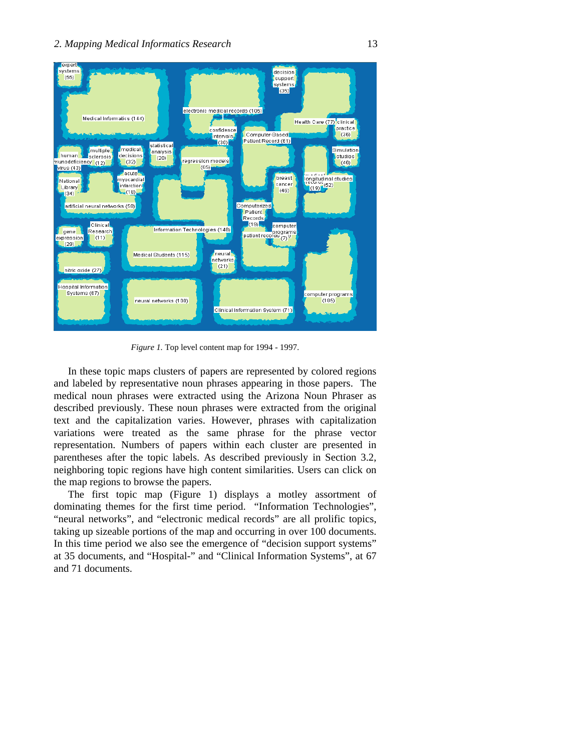

*Figure 1.* Top level content map for 1994 - 1997.

In these topic maps clusters of papers are represented by colored regions and labeled by representative noun phrases appearing in those papers. The medical noun phrases were extracted using the Arizona Noun Phraser as described previously. These noun phrases were extracted from the original text and the capitalization varies. However, phrases with capitalization variations were treated as the same phrase for the phrase vector representation. Numbers of papers within each cluster are presented in parentheses after the topic labels. As described previously in Section 3.2, neighboring topic regions have high content similarities. Users can click on the map regions to browse the papers.

The first topic map (Figure 1) displays a motley assortment of dominating themes for the first time period. "Information Technologies", "neural networks", and "electronic medical records" are all prolific topics, taking up sizeable portions of the map and occurring in over 100 documents. In this time period we also see the emergence of "decision support systems" at 35 documents, and "Hospital-" and "Clinical Information Systems", at 67 and 71 documents.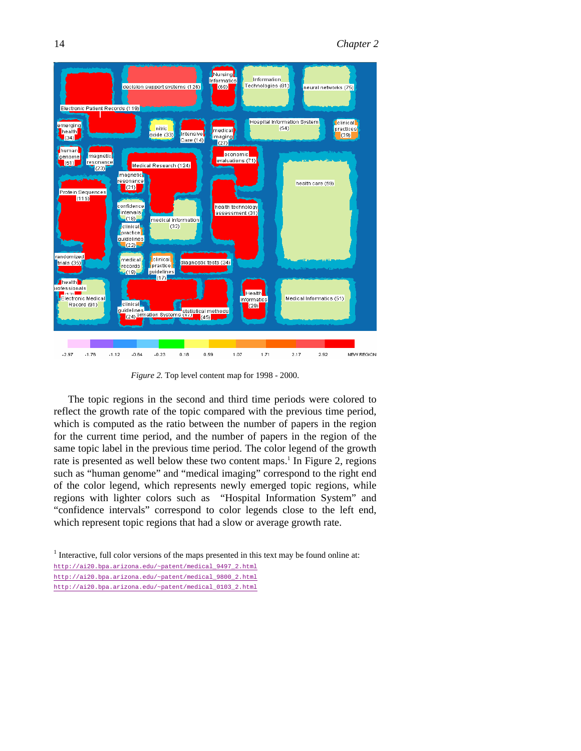

*Figure 2.* Top level content map for 1998 - 2000.

The topic regions in the second and third time periods were colored to reflect the growth rate of the topic compared with the previous time period, which is computed as the ratio between the number of papers in the region for the current time period, and the number of papers in the region of the same topic label in the previous time period. The color legend of the growth rate is presented as well below these two content maps.<sup>1</sup> In Figure 2, regions such as "human genome" and "medical imaging" correspond to the right end of the color legend, which represents newly emerged topic regions, while regions with lighter colors such as "Hospital Information System" and "confidence intervals" correspond to color legends close to the left end, which represent topic regions that had a slow or average growth rate.

 $<sup>1</sup>$  Interactive, full color versions of the maps presented in this text may be found online at:</sup> http://ai20.bpa.arizona.edu/~patent/medical\_9497\_2.html http://ai20.bpa.arizona.edu/~patent/medical\_9800\_2.html http://ai20.bpa.arizona.edu/~patent/medical\_0103\_2.html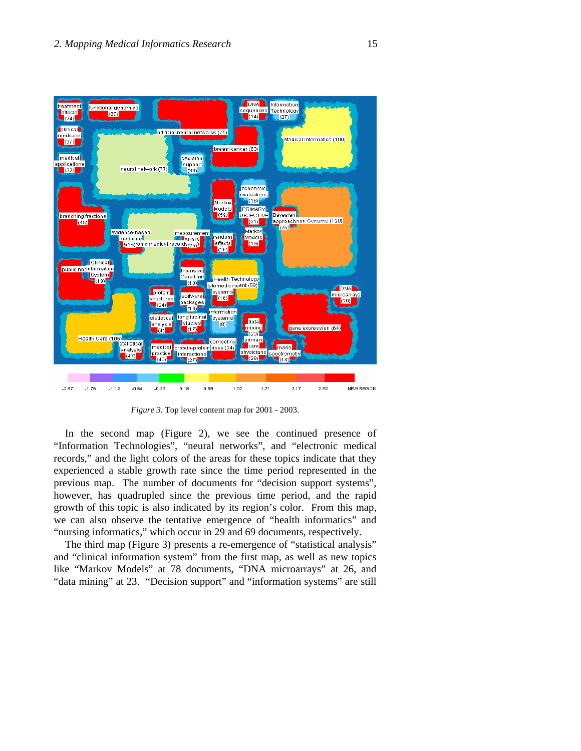

*Figure 3.* Top level content map for 2001 - 2003.

In the second map (Figure 2), we see the continued presence of "Information Technologies", "neural networks", and "electronic medical records," and the light colors of the areas for these topics indicate that they experienced a stable growth rate since the time period represented in the previous map. The number of documents for "decision support systems", however, has quadrupled since the previous time period, and the rapid growth of this topic is also indicated by its region's color. From this map, we can also observe the tentative emergence of "health informatics" and "nursing informatics," which occur in 29 and 69 documents, respectively.

The third map (Figure 3) presents a re-emergence of "statistical analysis" and "clinical information system" from the first map, as well as new topics like "Markov Models" at 78 documents, "DNA microarrays" at 26, and "data mining" at 23. "Decision support" and "information systems" are still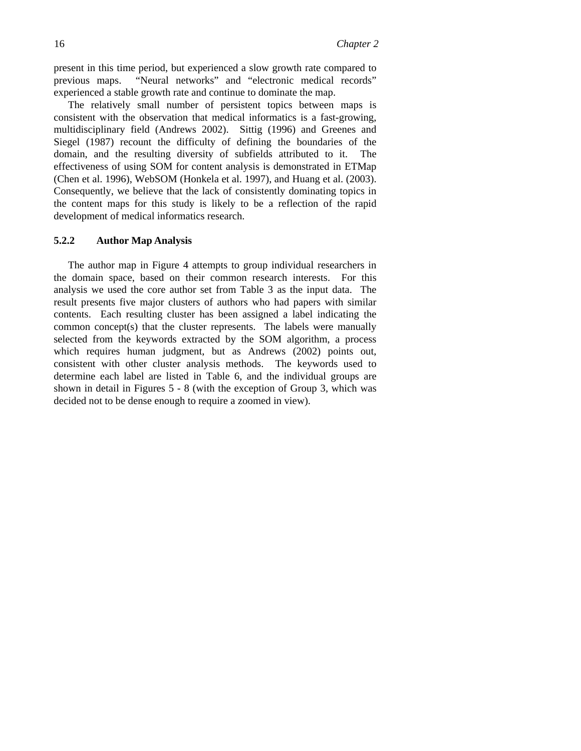present in this time period, but experienced a slow growth rate compared to previous maps. "Neural networks" and "electronic medical records" experienced a stable growth rate and continue to dominate the map.

The relatively small number of persistent topics between maps is consistent with the observation that medical informatics is a fast-growing, multidisciplinary field (Andrews 2002). Sittig (1996) and Greenes and Siegel (1987) recount the difficulty of defining the boundaries of the domain, and the resulting diversity of subfields attributed to it. The effectiveness of using SOM for content analysis is demonstrated in ETMap (Chen et al. 1996), WebSOM (Honkela et al. 1997), and Huang et al. (2003). Consequently, we believe that the lack of consistently dominating topics in the content maps for this study is likely to be a reflection of the rapid development of medical informatics research.

#### **5.2.2 Author Map Analysis**

The author map in Figure 4 attempts to group individual researchers in the domain space, based on their common research interests. For this analysis we used the core author set from Table 3 as the input data. The result presents five major clusters of authors who had papers with similar contents. Each resulting cluster has been assigned a label indicating the common concept(s) that the cluster represents. The labels were manually selected from the keywords extracted by the SOM algorithm, a process which requires human judgment, but as Andrews (2002) points out, consistent with other cluster analysis methods. The keywords used to determine each label are listed in Table 6, and the individual groups are shown in detail in Figures 5 - 8 (with the exception of Group 3, which was decided not to be dense enough to require a zoomed in view).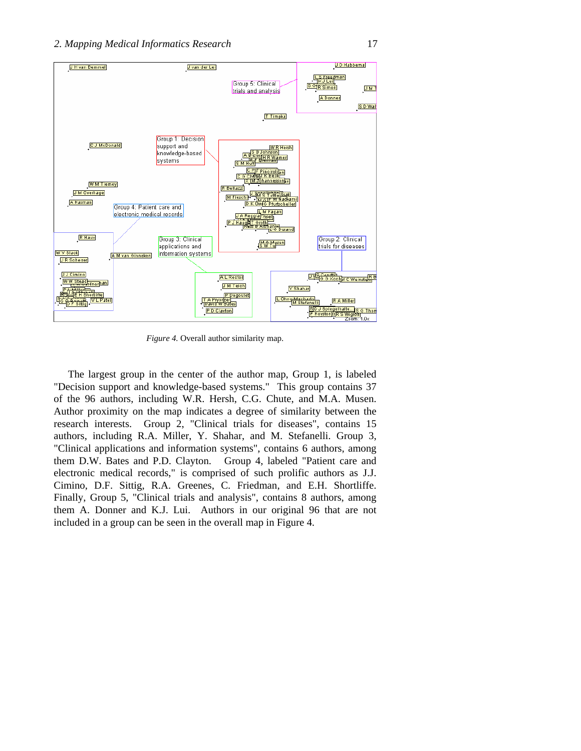

*Figure 4.* Overall author similarity map.

The largest group in the center of the author map, Group 1, is labeled "Decision support and knowledge-based systems." This group contains 37 of the 96 authors, including W.R. Hersh, C.G. Chute, and M.A. Musen. Author proximity on the map indicates a degree of similarity between the research interests. Group 2, "Clinical trials for diseases", contains 15 authors, including R.A. Miller, Y. Shahar, and M. Stefanelli. Group 3, "Clinical applications and information systems", contains 6 authors, among them D.W. Bates and P.D. Clayton. Group 4, labeled "Patient care and electronic medical records," is comprised of such prolific authors as J.J. Cimino, D.F. Sittig, R.A. Greenes, C. Friedman, and E.H. Shortliffe. Finally, Group 5, "Clinical trials and analysis", contains 8 authors, among them A. Donner and K.J. Lui. Authors in our original 96 that are not included in a group can be seen in the overall map in Figure 4.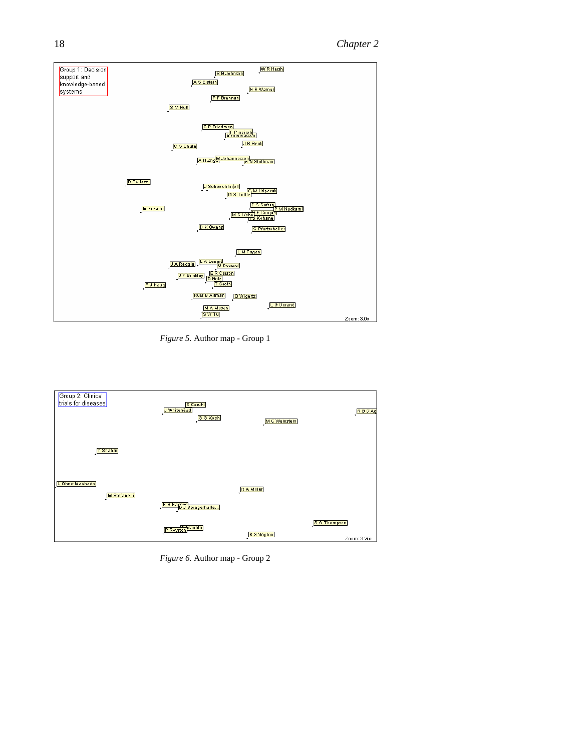18 *Chapter 2*



*Figure 5.* Author map - Group 1



*Figure 6.* Author map - Group 2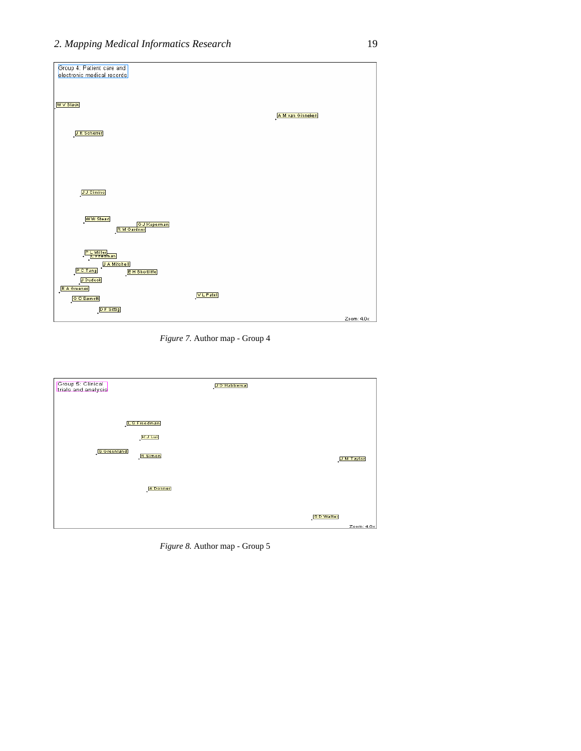| Group 4: Patient care and<br>electronic medical records                                          |          |                  |            |
|--------------------------------------------------------------------------------------------------|----------|------------------|------------|
| WIV Slack                                                                                        |          |                  |            |
| J R Scherrer                                                                                     |          | A M van Ginneken |            |
|                                                                                                  |          |                  |            |
| <b>J J Cimino</b>                                                                                |          |                  |            |
| WW Stead                                                                                         |          |                  |            |
| <mark>G J Kuperman</mark><br>R M Gardner                                                         |          |                  |            |
| L Miller<br> U Friedman <br>P<br>J A Mitchell<br>C Tang<br>$\mathsf{P}$<br><b>E H Shortliffe</b> |          |                  |            |
| <mark>J Dudeck</mark><br>R A Greenes<br><b>G</b> O Barnett                                       | VL Patel |                  |            |
| D F Sittig                                                                                       |          |                  | Zoom: 4.0x |

*Figure 7.* Author map - Group 4

| Group 5: Clinical<br>trials and analysis | J D Habbema              |
|------------------------------------------|--------------------------|
|                                          |                          |
| L S Freedman                             |                          |
| . <mark>KJ Lui</mark>                    |                          |
| S Greenland<br>R Simon                   | <b>UM Taylor</b>         |
|                                          |                          |
| <b>A Donner</b>                          |                          |
|                                          |                          |
|                                          | S D Walter<br>Zoom: 4.0x |

*Figure 8.* Author map - Group 5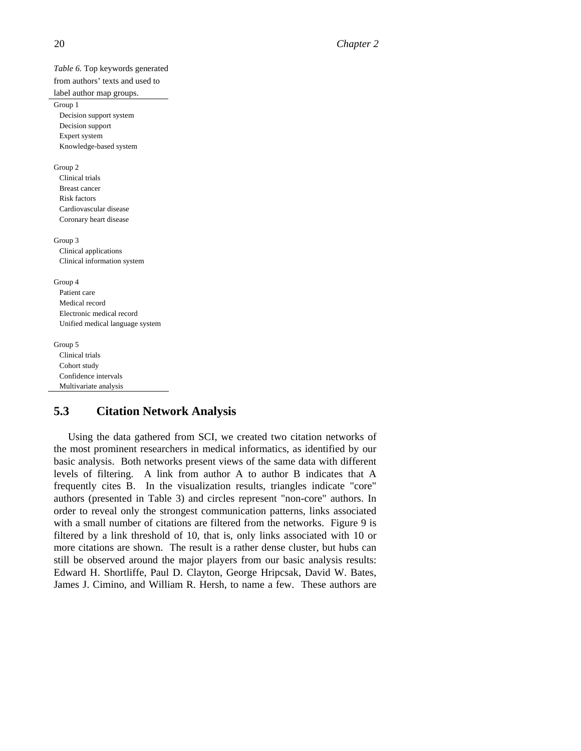*Table 6.* Top keywords generated from authors' texts and used to label author map groups. Group 1 Decision support system Decision support Expert system Knowledge-based system Group 2 Clinical trials Breast cancer Risk factors Cardiovascular disease Coronary heart disease Group 3 Clinical applications Clinical information system Group 4 Patient care Medical record Electronic medical record Unified medical language system Group 5 Clinical trials Cohort study Confidence intervals Multivariate analysis

# **5.3 Citation Network Analysis**

Using the data gathered from SCI, we created two citation networks of the most prominent researchers in medical informatics, as identified by our basic analysis. Both networks present views of the same data with different levels of filtering. A link from author A to author B indicates that A frequently cites B. In the visualization results, triangles indicate "core" authors (presented in Table 3) and circles represent "non-core" authors. In order to reveal only the strongest communication patterns, links associated with a small number of citations are filtered from the networks. Figure 9 is filtered by a link threshold of 10, that is, only links associated with 10 or more citations are shown. The result is a rather dense cluster, but hubs can still be observed around the major players from our basic analysis results: Edward H. Shortliffe, Paul D. Clayton, George Hripcsak, David W. Bates, James J. Cimino, and William R. Hersh, to name a few. These authors are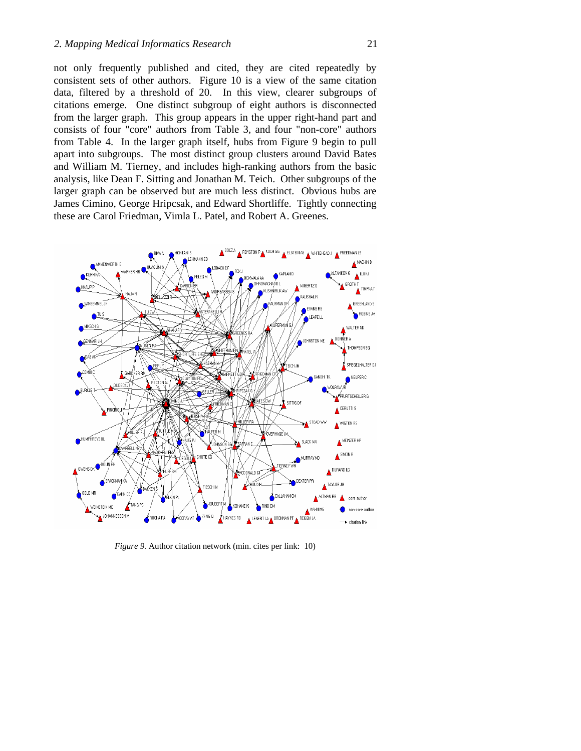not only frequently published and cited, they are cited repeatedly by consistent sets of other authors. Figure 10 is a view of the same citation data, filtered by a threshold of 20. In this view, clearer subgroups of citations emerge. One distinct subgroup of eight authors is disconnected from the larger graph. This group appears in the upper right-hand part and consists of four "core" authors from Table 3, and four "non-core" authors from Table 4. In the larger graph itself, hubs from Figure 9 begin to pull apart into subgroups. The most distinct group clusters around David Bates and William M. Tierney, and includes high-ranking authors from the basic analysis, like Dean F. Sitting and Jonathan M. Teich. Other subgroups of the larger graph can be observed but are much less distinct. Obvious hubs are James Cimino, George Hripcsak, and Edward Shortliffe. Tightly connecting these are Carol Friedman, Vimla L. Patel, and Robert A. Greenes.



*Figure 9.* Author citation network (min. cites per link: 10)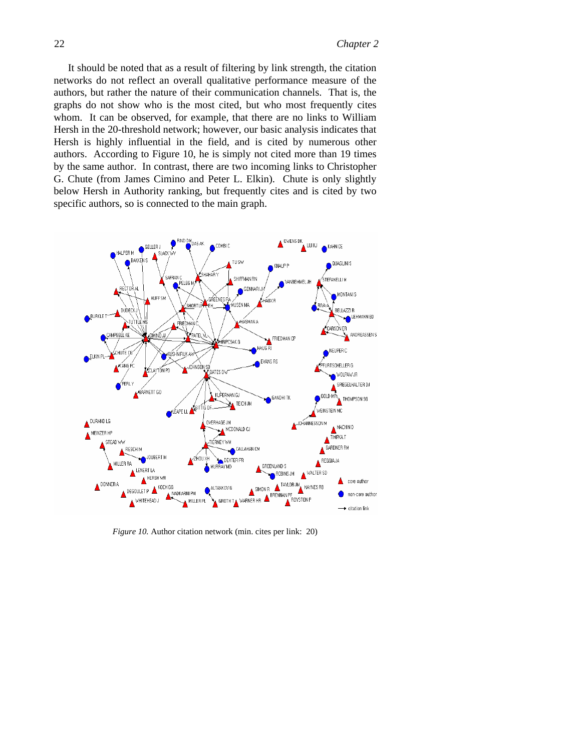It should be noted that as a result of filtering by link strength, the citation networks do not reflect an overall qualitative performance measure of the authors, but rather the nature of their communication channels. That is, the graphs do not show who is the most cited, but who most frequently cites whom. It can be observed, for example, that there are no links to William Hersh in the 20-threshold network; however, our basic analysis indicates that Hersh is highly influential in the field, and is cited by numerous other authors. According to Figure 10, he is simply not cited more than 19 times by the same author. In contrast, there are two incoming links to Christopher G. Chute (from James Cimino and Peter L. Elkin). Chute is only slightly below Hersh in Authority ranking, but frequently cites and is cited by two specific authors, so is connected to the main graph.



*Figure 10.* Author citation network (min. cites per link: 20)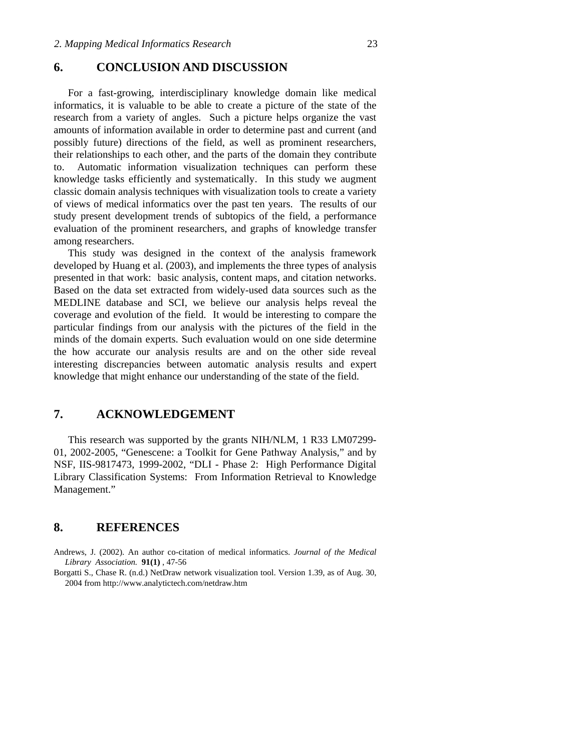#### **6. CONCLUSION AND DISCUSSION**

For a fast-growing, interdisciplinary knowledge domain like medical informatics, it is valuable to be able to create a picture of the state of the research from a variety of angles. Such a picture helps organize the vast amounts of information available in order to determine past and current (and possibly future) directions of the field, as well as prominent researchers, their relationships to each other, and the parts of the domain they contribute to. Automatic information visualization techniques can perform these knowledge tasks efficiently and systematically. In this study we augment classic domain analysis techniques with visualization tools to create a variety of views of medical informatics over the past ten years. The results of our study present development trends of subtopics of the field, a performance evaluation of the prominent researchers, and graphs of knowledge transfer among researchers.

This study was designed in the context of the analysis framework developed by Huang et al. (2003), and implements the three types of analysis presented in that work: basic analysis, content maps, and citation networks. Based on the data set extracted from widely-used data sources such as the MEDLINE database and SCI, we believe our analysis helps reveal the coverage and evolution of the field. It would be interesting to compare the particular findings from our analysis with the pictures of the field in the minds of the domain experts. Such evaluation would on one side determine the how accurate our analysis results are and on the other side reveal interesting discrepancies between automatic analysis results and expert knowledge that might enhance our understanding of the state of the field.

### **7. ACKNOWLEDGEMENT**

This research was supported by the grants NIH/NLM, 1 R33 LM07299- 01, 2002-2005, "Genescene: a Toolkit for Gene Pathway Analysis," and by NSF, IIS-9817473, 1999-2002, "DLI - Phase 2: High Performance Digital Library Classification Systems: From Information Retrieval to Knowledge Management."

### **8. REFERENCES**

Andrews, J. (2002). An author co-citation of medical informatics. *Journal of the Medical Library Association.* **91(1)** , 47-56

Borgatti S., Chase R. (n.d.) NetDraw network visualization tool. Version 1.39, as of Aug. 30, 2004 from http://www.analytictech.com/netdraw.htm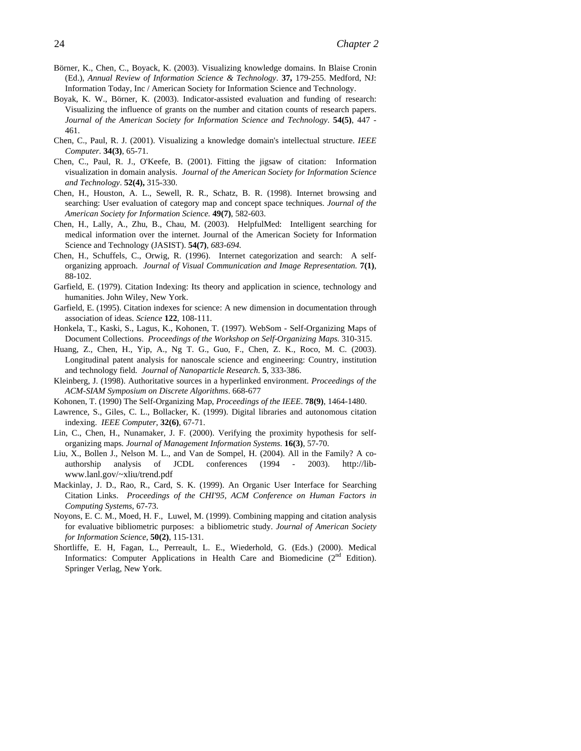- Börner, K., Chen, C., Boyack, K. (2003). Visualizing knowledge domains. In Blaise Cronin (Ed.), *Annual Review of Information Science & Technology*. **37,** 179-255. Medford, NJ: Information Today, Inc / American Society for Information Science and Technology.
- Boyak, K. W., Börner, K. (2003). Indicator-assisted evaluation and funding of research: Visualizing the influence of grants on the number and citation counts of research papers. *Journal of the American Society for Information Science and Technology*. **54(5)**, 447 - 461.
- Chen, C., Paul, R. J. (2001). Visualizing a knowledge domain's intellectual structure. *IEEE Computer.* **34(3)**, 65-71.
- Chen, C., Paul, R. J., O'Keefe, B. (2001). Fitting the jigsaw of citation: Information visualization in domain analysis. *Journal of the American Society for Information Science and Technology*. **52(4),** 315-330.
- Chen, H., Houston, A. L., Sewell, R. R., Schatz, B. R. (1998). Internet browsing and searching: User evaluation of category map and concept space techniques. *Journal of the American Society for Information Science.* **49(7)**, 582-603.
- Chen, H., Lally, A., Zhu, B., Chau, M. (2003). HelpfulMed: Intelligent searching for medical information over the internet. Journal of the American Society for Information Science and Technology (JASIST). **54(7)**, *683-694.*
- Chen, H., Schuffels, C., Orwig, R. (1996). Internet categorization and search: A selforganizing approach. *Journal of Visual Communication and Image Representation.* **7(1)**, 88-102.
- Garfield, E. (1979). Citation Indexing: Its theory and application in science, technology and humanities. John Wiley, New York.
- Garfield, E. (1995). Citation indexes for science: A new dimension in documentation through association of ideas. *Science* **122**, 108-111.
- Honkela, T., Kaski, S., Lagus, K., Kohonen, T. (1997). WebSom Self-Organizing Maps of Document Collections. *Proceedings of the Workshop on Self-Organizing Maps*. 310-315.
- Huang, Z., Chen, H., Yip, A., Ng T. G., Guo, F., Chen, Z. K., Roco, M. C. (2003). Longitudinal patent analysis for nanoscale science and engineering: Country, institution and technology field. *Journal of Nanoparticle Research*. **5**, 333-386.
- Kleinberg, J. (1998). Authoritative sources in a hyperlinked environment. *Proceedings of the ACM-SIAM Symposium on Discrete Algorithms*. 668-677
- Kohonen, T. (1990) The Self-Organizing Map, *Proceedings of the IEEE*. **78(9)**, 1464-1480.
- Lawrence, S., Giles, C. L., Bollacker, K. (1999). Digital libraries and autonomous citation indexing. *IEEE Computer*, **32(6)**, 67-71.
- Lin, C., Chen, H., Nunamaker, J. F. (2000). Verifying the proximity hypothesis for selforganizing maps*. Journal of Management Information Systems*. **16(3)**, 57-70.
- Liu, X., Bollen J., Nelson M. L., and Van de Sompel, H. (2004). All in the Family? A coauthorship analysis of JCDL conferences (1994 - 2003). http://libwww.lanl.gov/~xliu/trend.pdf
- Mackinlay, J. D., Rao, R., Card, S. K. (1999). An Organic User Interface for Searching Citation Links. *Proceedings of the CHI'95, ACM Conference on Human Factors in Computing Systems*, 67-73.
- Noyons, E. C. M., Moed, H. F., Luwel, M. (1999). Combining mapping and citation analysis for evaluative bibliometric purposes: a bibliometric study. *Journal of American Society for Information Science*, **50(2)**, 115-131.
- Shortliffe, E. H, Fagan, L., Perreault, L. E., Wiederhold, G. (Eds.) (2000). Medical Informatics: Computer Applications in Health Care and Biomedicine  $(2<sup>nd</sup> Edition)$ . Springer Verlag, New York.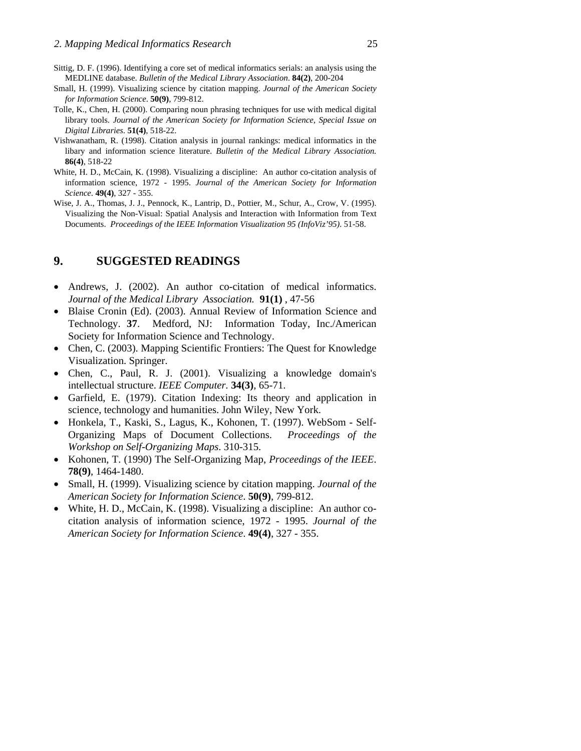- Sittig, D. F. (1996). Identifying a core set of medical informatics serials: an analysis using the MEDLINE database. *Bulletin of the Medical Library Association*. **84(2)**, 200-204
- Small, H. (1999). Visualizing science by citation mapping. *Journal of the American Society for Information Science*. **50(9)**, 799-812.
- Tolle, K., Chen, H. (2000). Comparing noun phrasing techniques for use with medical digital library tools. *Journal of the American Society for Information Science, Special Issue on Digital Libraries*. **51(4)**, 518-22.
- Vishwanatham, R. (1998). Citation analysis in journal rankings: medical informatics in the libary and information science literature. *Bulletin of the Medical Library Association.* **86(4)**, 518-22
- White, H. D., McCain, K. (1998). Visualizing a discipline: An author co-citation analysis of information science, 1972 - 1995. *Journal of the American Society for Information Science*. **49(4)**, 327 - 355.
- Wise, J. A., Thomas, J. J., Pennock, K., Lantrip, D., Pottier, M., Schur, A., Crow, V. (1995). Visualizing the Non-Visual: Spatial Analysis and Interaction with Information from Text Documents. *Proceedings of the IEEE Information Visualization 95 (InfoViz'95)*. 51-58.

### **9. SUGGESTED READINGS**

- Andrews, J. (2002). An author co-citation of medical informatics. *Journal of the Medical Library Association.* **91(1)** , 47-56
- Blaise Cronin (Ed). (2003). Annual Review of Information Science and Technology. **37**. Medford, NJ: Information Today, Inc./American Society for Information Science and Technology.
- Chen, C. (2003). Mapping Scientific Frontiers: The Quest for Knowledge Visualization. Springer.
- Chen, C., Paul, R. J. (2001). Visualizing a knowledge domain's intellectual structure. *IEEE Computer.* **34(3)**, 65-71.
- Garfield, E. (1979). Citation Indexing: Its theory and application in science, technology and humanities. John Wiley, New York.
- Honkela, T., Kaski, S., Lagus, K., Kohonen, T. (1997). WebSom Self-Organizing Maps of Document Collections. *Proceedings of the Workshop on Self-Organizing Maps*. 310-315.
- Kohonen, T. (1990) The Self-Organizing Map, *Proceedings of the IEEE*. **78(9)**, 1464-1480.
- Small, H. (1999). Visualizing science by citation mapping. *Journal of the American Society for Information Science*. **50(9)**, 799-812.
- White, H. D., McCain, K. (1998). Visualizing a discipline: An author cocitation analysis of information science, 1972 - 1995. *Journal of the American Society for Information Science*. **49(4)**, 327 - 355.